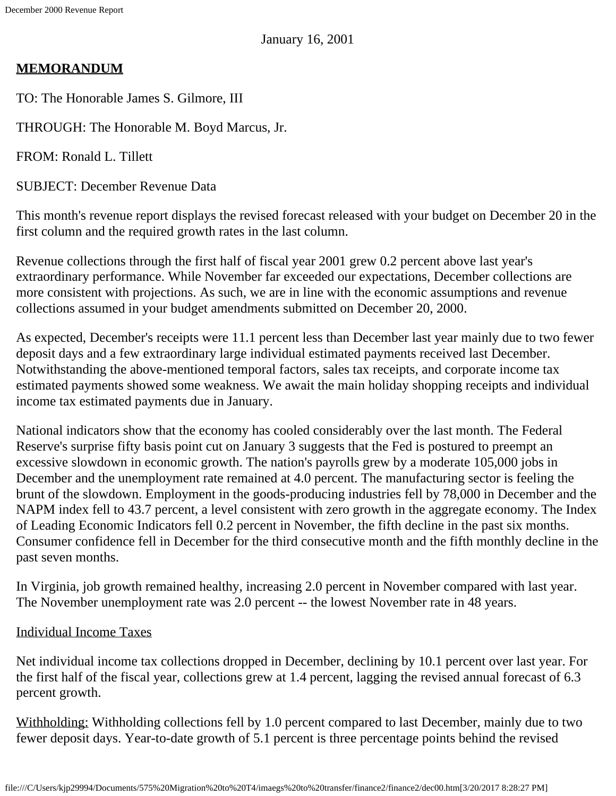## **MEMORANDUM**

TO: The Honorable James S. Gilmore, III

THROUGH: The Honorable M. Boyd Marcus, Jr.

FROM: Ronald L. Tillett

SUBJECT: December Revenue Data

This month's revenue report displays the revised forecast released with your budget on December 20 in the first column and the required growth rates in the last column.

Revenue collections through the first half of fiscal year 2001 grew 0.2 percent above last year's extraordinary performance. While November far exceeded our expectations, December collections are more consistent with projections. As such, we are in line with the economic assumptions and revenue collections assumed in your budget amendments submitted on December 20, 2000.

As expected, December's receipts were 11.1 percent less than December last year mainly due to two fewer deposit days and a few extraordinary large individual estimated payments received last December. Notwithstanding the above-mentioned temporal factors, sales tax receipts, and corporate income tax estimated payments showed some weakness. We await the main holiday shopping receipts and individual income tax estimated payments due in January.

National indicators show that the economy has cooled considerably over the last month. The Federal Reserve's surprise fifty basis point cut on January 3 suggests that the Fed is postured to preempt an excessive slowdown in economic growth. The nation's payrolls grew by a moderate 105,000 jobs in December and the unemployment rate remained at 4.0 percent. The manufacturing sector is feeling the brunt of the slowdown. Employment in the goods-producing industries fell by 78,000 in December and the NAPM index fell to 43.7 percent, a level consistent with zero growth in the aggregate economy. The Index of Leading Economic Indicators fell 0.2 percent in November, the fifth decline in the past six months. Consumer confidence fell in December for the third consecutive month and the fifth monthly decline in the past seven months.

In Virginia, job growth remained healthy, increasing 2.0 percent in November compared with last year. The November unemployment rate was 2.0 percent -- the lowest November rate in 48 years.

## Individual Income Taxes

Net individual income tax collections dropped in December, declining by 10.1 percent over last year. For the first half of the fiscal year, collections grew at 1.4 percent, lagging the revised annual forecast of 6.3 percent growth.

Withholding: Withholding collections fell by 1.0 percent compared to last December, mainly due to two fewer deposit days. Year-to-date growth of 5.1 percent is three percentage points behind the revised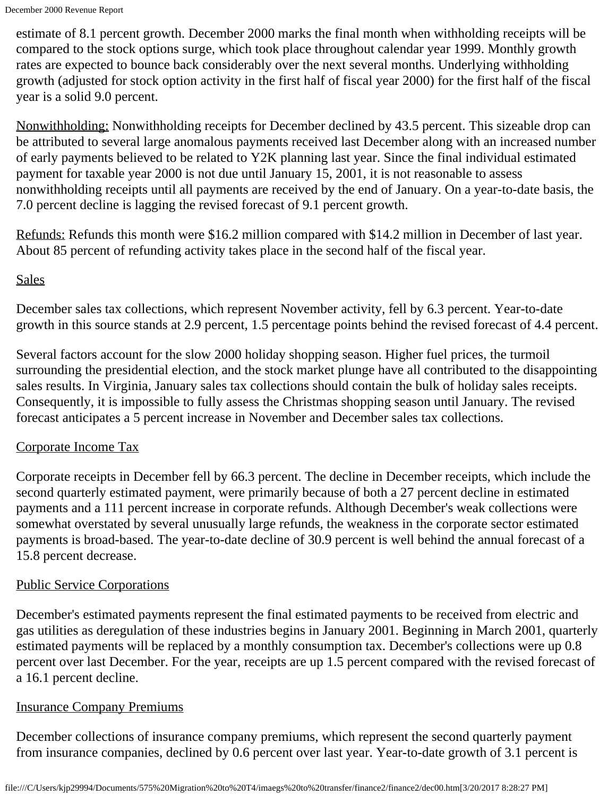estimate of 8.1 percent growth. December 2000 marks the final month when withholding receipts will be compared to the stock options surge, which took place throughout calendar year 1999. Monthly growth rates are expected to bounce back considerably over the next several months. Underlying withholding growth (adjusted for stock option activity in the first half of fiscal year 2000) for the first half of the fiscal year is a solid 9.0 percent.

Nonwithholding: Nonwithholding receipts for December declined by 43.5 percent. This sizeable drop can be attributed to several large anomalous payments received last December along with an increased number of early payments believed to be related to Y2K planning last year. Since the final individual estimated payment for taxable year 2000 is not due until January 15, 2001, it is not reasonable to assess nonwithholding receipts until all payments are received by the end of January. On a year-to-date basis, the 7.0 percent decline is lagging the revised forecast of 9.1 percent growth.

Refunds: Refunds this month were \$16.2 million compared with \$14.2 million in December of last year. About 85 percent of refunding activity takes place in the second half of the fiscal year.

## **Sales**

December sales tax collections, which represent November activity, fell by 6.3 percent. Year-to-date growth in this source stands at 2.9 percent, 1.5 percentage points behind the revised forecast of 4.4 percent.

Several factors account for the slow 2000 holiday shopping season. Higher fuel prices, the turmoil surrounding the presidential election, and the stock market plunge have all contributed to the disappointing sales results. In Virginia, January sales tax collections should contain the bulk of holiday sales receipts. Consequently, it is impossible to fully assess the Christmas shopping season until January. The revised forecast anticipates a 5 percent increase in November and December sales tax collections.

## Corporate Income Tax

Corporate receipts in December fell by 66.3 percent. The decline in December receipts, which include the second quarterly estimated payment, were primarily because of both a 27 percent decline in estimated payments and a 111 percent increase in corporate refunds. Although December's weak collections were somewhat overstated by several unusually large refunds, the weakness in the corporate sector estimated payments is broad-based. The year-to-date decline of 30.9 percent is well behind the annual forecast of a 15.8 percent decrease.

## Public Service Corporations

December's estimated payments represent the final estimated payments to be received from electric and gas utilities as deregulation of these industries begins in January 2001. Beginning in March 2001, quarterly estimated payments will be replaced by a monthly consumption tax. December's collections were up 0.8 percent over last December. For the year, receipts are up 1.5 percent compared with the revised forecast of a 16.1 percent decline.

## Insurance Company Premiums

December collections of insurance company premiums, which represent the second quarterly payment from insurance companies, declined by 0.6 percent over last year. Year-to-date growth of 3.1 percent is